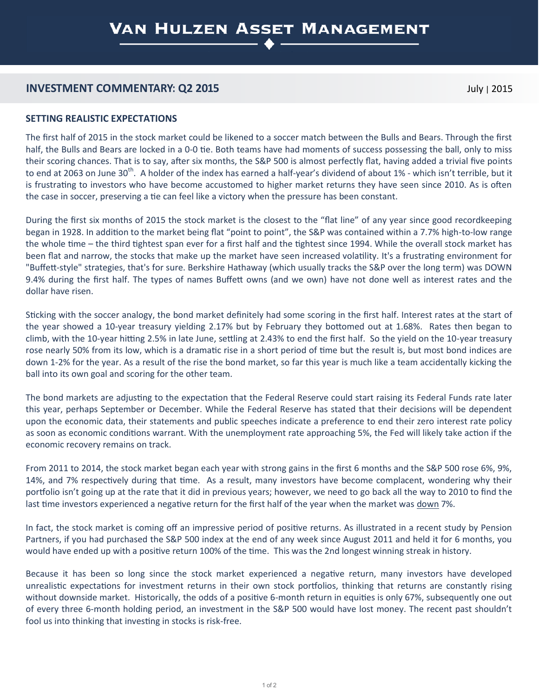## **INVESTMENT COMMENTARY: Q2 2015** July <sup>|</sup>2015

### **SETTING REALISTIC EXPECTATIONS**

The first half of 2015 in the stock market could be likened to a soccer match between the Bulls and Bears. Through the first half, the Bulls and Bears are locked in a 0-0 tie. Both teams have had moments of success possessing the ball, only to miss their scoring chances. That is to say, after six months, the S&P 500 is almost perfectly flat, having added a trivial five points to end at 2063 on June 30<sup>th</sup>. A holder of the index has earned a half-year's dividend of about 1% - which isn't terrible, but it is frustrating to investors who have become accustomed to higher market returns they have seen since 2010. As is often the case in soccer, preserving a tie can feel like a victory when the pressure has been constant.

During the first six months of 2015 the stock market is the closest to the "flat line" of any year since good recordkeeping began in 1928. In addition to the market being flat "point to point", the S&P was contained within a 7.7% high-to-low range the whole time – the third tightest span ever for a first half and the tightest since 1994. While the overall stock market has been flat and narrow, the stocks that make up the market have seen increased volatility. It's a frustrating environment for "Buffett-style" strategies, that's for sure. Berkshire Hathaway (which usually tracks the S&P over the long term) was DOWN 9.4% during the first half. The types of names Buffett owns (and we own) have not done well as interest rates and the dollar have risen.

Sticking with the soccer analogy, the bond market definitely had some scoring in the first half. Interest rates at the start of the year showed a 10-year treasury yielding 2.17% but by February they bottomed out at 1.68%. Rates then began to climb, with the 10-year hitting 2.5% in late June, settling at 2.43% to end the first half. So the yield on the 10-year treasury rose nearly 50% from its low, which is a dramatic rise in a short period of time but the result is, but most bond indices are down 1-2% for the year. As a result of the rise the bond market, so far this year is much like a team accidentally kicking the ball into its own goal and scoring for the other team.

The bond markets are adjusting to the expectation that the Federal Reserve could start raising its Federal Funds rate later this year, perhaps September or December. While the Federal Reserve has stated that their decisions will be dependent upon the economic data, their statements and public speeches indicate a preference to end their zero interest rate policy as soon as economic conditions warrant. With the unemployment rate approaching 5%, the Fed will likely take action if the economic recovery remains on track.

From 2011 to 2014, the stock market began each year with strong gains in the first 6 months and the S&P 500 rose 6%, 9%, 14%, and 7% respectively during that time. As a result, many investors have become complacent, wondering why their portfolio isn't going up at the rate that it did in previous years; however, we need to go back all the way to 2010 to find the last time investors experienced a negative return for the first half of the year when the market was down 7%.

In fact, the stock market is coming off an impressive period of positive returns. As illustrated in a recent study by Pension Partners, if you had purchased the S&P 500 index at the end of any week since August 2011 and held it for 6 months, you would have ended up with a positive return 100% of the time. This was the 2nd longest winning streak in history.

Because it has been so long since the stock market experienced a negative return, many investors have developed unrealistic expectations for investment returns in their own stock portfolios, thinking that returns are constantly rising without downside market. Historically, the odds of a positive 6-month return in equities is only 67%, subsequently one out of every three 6-month holding period, an investment in the S&P 500 would have lost money. The recent past shouldn't fool us into thinking that investing in stocks is risk-free.